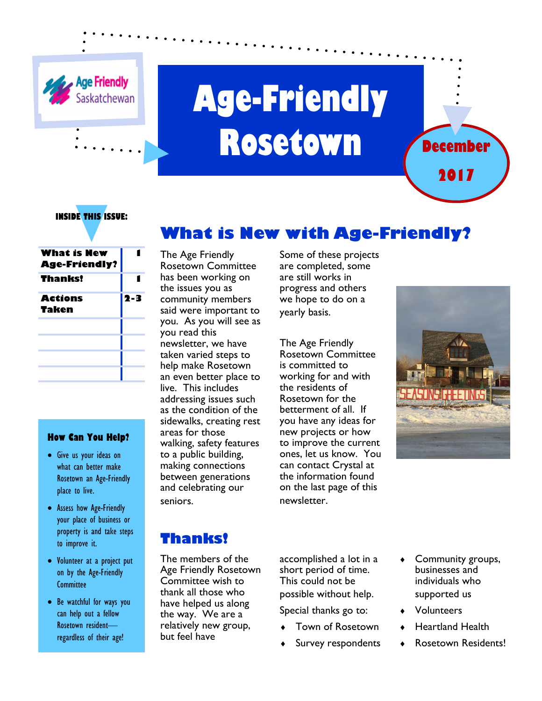

# **Age-Friendly Rosetown**



#### **INSIDE THIS ISSUE:**

| $2 - 3$ |
|---------|
|         |
|         |
|         |
|         |
|         |
|         |

#### **How Can You Help?**

- Give us your ideas on what can better make Rosetown an Age-Friendly place to live.
- Assess how Age-Friendly your place of business or property is and take steps to improve it.
- Volunteer at a project put on by the Age-Friendly **Committee**
- Be watchful for ways you can help out a fellow Rosetown resident regardless of their age!

# **What is New with Age-Friendly?**

The Age Friendly Rosetown Committee has been working on the issues you as community members said were important to you. As you will see as you read this newsletter, we have taken varied steps to help make Rosetown an even better place to live. This includes addressing issues such as the condition of the sidewalks, creating rest areas for those walking, safety features to a public building, making connections between generations and celebrating our seniors.

Some of these projects are completed, some are still works in progress and others we hope to do on a yearly basis.

The Age Friendly Rosetown Committee is committed to working for and with the residents of Rosetown for the betterment of all. If you have any ideas for new projects or how to improve the current ones, let us know. You can contact Crystal at the information found on the last page of this newsletter.



### **Thanks!**

The members of the Age Friendly Rosetown Committee wish to thank all those who have helped us along the way. We are a relatively new group, but feel have

accomplished a lot in a short period of time. This could not be possible without help.

Special thanks go to:

- Town of Rosetown
- Survey respondents
- ♦ Community groups, businesses and individuals who supported us
- **Volunteers**
- **Heartland Health** 
	- Rosetown Residents!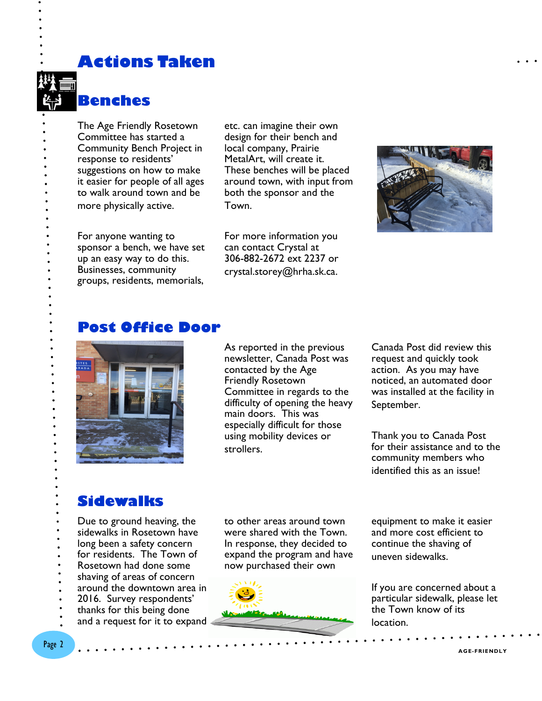**Actions Taken** 



The Age Friendly Rosetown Committee has started a Community Bench Project in response to residents' suggestions on how to make it easier for people of all ages to walk around town and be more physically active.

etc. can imagine their own design for their bench and local company, Prairie MetalArt, will create it. These benches will be placed around town, with input from both the sponsor and the Town.

For anyone wanting to sponsor a bench, we have set up an easy way to do this. Businesses, community groups, residents, memorials, For more information you can contact Crystal at 306-882-2672 ext 2237 or crystal.storey@hrha.sk.ca.



#### **Post Office Door**



As reported in the previous newsletter, Canada Post was contacted by the Age Friendly Rosetown Committee in regards to the difficulty of opening the heavy main doors. This was especially difficult for those using mobility devices or strollers.

Canada Post did review this request and quickly took action. As you may have noticed, an automated door was installed at the facility in September.

Thank you to Canada Post for their assistance and to the community members who identified this as an issue!

#### **Sidewalks**

Due to ground heaving, the sidewalks in Rosetown have long been a safety concern for residents. The Town of Rosetown had done some shaving of areas of concern around the downtown area in 2016. Survey respondents' thanks for this being done and a request for it to expand to other areas around town were shared with the Town. In response, they decided to expand the program and have now purchased their own



equipment to make it easier and more cost efficient to continue the shaving of uneven sidewalks.

If you are concerned about a particular sidewalk, please let the Town know of its location.